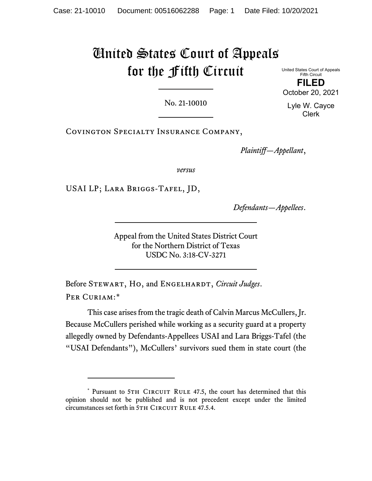# United States Court of Appeals for the Fifth Circuit

United States Court of Appeals Fifth Circuit **FILED** October 20, 2021

No. 21-10010

Lyle W. Cayce Clerk

Covington Specialty Insurance Company,

*Plaintiff—Appellant*,

*versus*

USAI LP; Lara Briggs-Tafel, JD,

*Defendants—Appellees*.

Appeal from the United States District Court for the Northern District of Texas USDC No. 3:18-CV-3271

Before STEWART, HO, and ENGELHARDT, *Circuit Judges*. PER CURIAM:[\\*](#page-0-0)

This case arises from the tragic death of Calvin Marcus McCullers, Jr. Because McCullers perished while working as a security guard at a property allegedly owned by Defendants-Appellees USAI and Lara Briggs-Tafel (the "USAI Defendants"), McCullers' survivors sued them in state court (the

<span id="page-0-0"></span><sup>\*</sup> Pursuant to 5TH CIRCUIT RULE 47.5, the court has determined that this opinion should not be published and is not precedent except under the limited circumstances set forth in 5TH CIRCUIT RULE 47.5.4.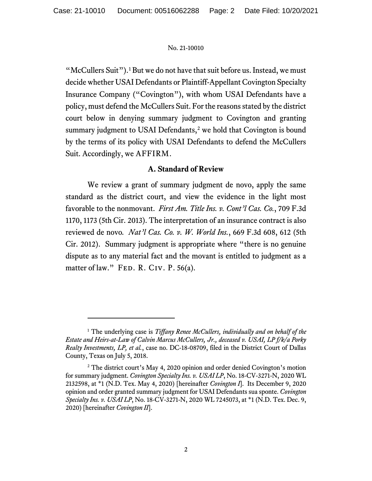"McCullers Suit").<sup>[1](#page-1-0)</sup> But we do not have that suit before us. Instead, we must decide whether USAI Defendants or Plaintiff-Appellant Covington Specialty Insurance Company ("Covington"), with whom USAI Defendants have a policy, must defend the McCullers Suit. For the reasons stated by the district court below in denying summary judgment to Covington and granting summary judgment to USAI Defendants,<sup>[2](#page-1-1)</sup> we hold that Covington is bound by the terms of its policy with USAI Defendants to defend the McCullers Suit. Accordingly, we AFFIRM.

## **A. Standard of Review**

We review a grant of summary judgment de novo, apply the same standard as the district court, and view the evidence in the light most favorable to the nonmovant. *First Am. Title Ins. v. Cont'l Cas. Co.*, 709 F.3d 1170, 1173 (5th Cir. 2013). The interpretation of an insurance contract is also reviewed de novo*. Nat'l Cas. Co. v. W. World Ins.*, 669 F.3d 608, 612 (5th Cir. 2012). Summary judgment is appropriate where "there is no genuine dispute as to any material fact and the movant is entitled to judgment as a matter of law." FED. R. CIV. P. 56(a).

<span id="page-1-0"></span><sup>1</sup> The underlying case is *Tiffany Renee McCullers, individually and on behalf of the Estate and Heirs-at-Law of Calvin Marcus McCullers, Jr., deceased v. USAI, LP f/k/a Porky Realty Investments, LP, et al.*, case no. DC-18-08709, filed in the District Court of Dallas County, Texas on July 5, 2018.

<span id="page-1-1"></span><sup>&</sup>lt;sup>2</sup> The district court's May 4, 2020 opinion and order denied Covington's motion for summary judgment. *Covington Specialty Ins. v. USAI LP*, No. 18-CV-3271-N, 2020 WL 2132598, at \*1 (N.D. Tex. May 4, 2020) [hereinafter *Covington I*]. Its December 9, 2020 opinion and order granted summary judgment for USAI Defendants sua sponte. *Covington Specialty Ins. v. USAI LP*, No. 18-CV-3271-N, 2020 WL 7245073, at \*1 (N.D. Tex. Dec. 9, 2020) [hereinafter *Covington II*].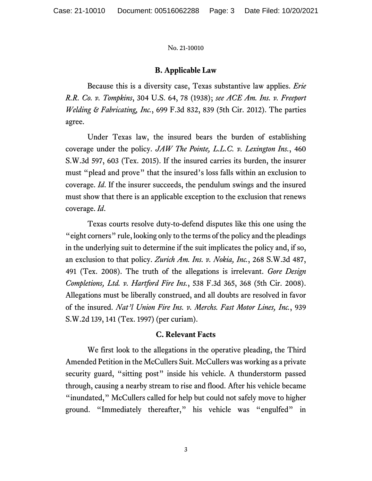#### **B. Applicable Law**

Because this is a diversity case, Texas substantive law applies. *Erie R.R. Co. v. Tompkins*, 304 U.S. 64, 78 (1938); *see ACE Am. Ins. v. Freeport Welding & Fabricating, Inc.*, 699 F.3d 832, 839 (5th Cir. 2012). The parties agree.

Under Texas law, the insured bears the burden of establishing coverage under the policy. *JAW The Pointe, L.L.C. v. Lexington Ins.*, 460 S.W.3d 597, 603 (Tex. 2015). If the insured carries its burden, the insurer must "plead and prove" that the insured's loss falls within an exclusion to coverage. *Id*. If the insurer succeeds, the pendulum swings and the insured must show that there is an applicable exception to the exclusion that renews coverage. *Id*.

Texas courts resolve duty-to-defend disputes like this one using the "eight corners" rule, looking only to the terms of the policy and the pleadings in the underlying suit to determine if the suit implicates the policy and, if so, an exclusion to that policy. *Zurich Am. Ins. v. Nokia, Inc.*, 268 S.W.3d 487, 491 (Tex. 2008). The truth of the allegations is irrelevant. *Gore Design Completions, Ltd. v. Hartford Fire Ins.*, 538 F.3d 365, 368 (5th Cir. 2008). Allegations must be liberally construed, and all doubts are resolved in favor of the insured. *Nat'l Union Fire Ins. v. Merchs. Fast Motor Lines, Inc.*, 939 S.W.2d 139, 141 (Tex. 1997) (per curiam).

#### **C. Relevant Facts**

We first look to the allegations in the operative pleading, the Third Amended Petition in the McCullers Suit. McCullers was working as a private security guard, "sitting post" inside his vehicle. A thunderstorm passed through, causing a nearby stream to rise and flood. After his vehicle became "inundated," McCullers called for help but could not safely move to higher ground. "Immediately thereafter," his vehicle was "engulfed" in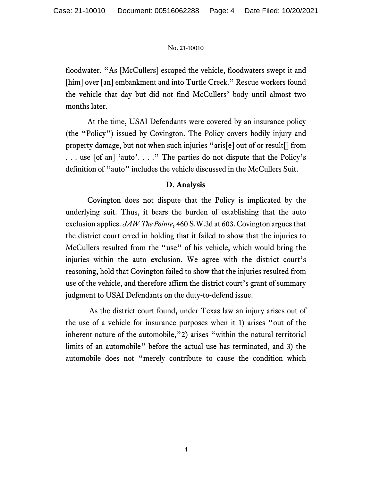floodwater. "As [McCullers] escaped the vehicle, floodwaters swept it and [him] over [an] embankment and into Turtle Creek." Rescue workers found the vehicle that day but did not find McCullers' body until almost two months later.

At the time, USAI Defendants were covered by an insurance policy (the "Policy") issued by Covington. The Policy covers bodily injury and property damage, but not when such injuries "aris[e] out of or result[] from . . . use [of an] 'auto'. . . ." The parties do not dispute that the Policy's definition of "auto" includes the vehicle discussed in the McCullers Suit.

## **D. Analysis**

Covington does not dispute that the Policy is implicated by the underlying suit. Thus, it bears the burden of establishing that the auto exclusion applies. *JAW The Pointe*, 460 S.W.3d at 603. Covington argues that the district court erred in holding that it failed to show that the injuries to McCullers resulted from the "use" of his vehicle, which would bring the injuries within the auto exclusion. We agree with the district court's reasoning, hold that Covington failed to show that the injuries resulted from use of the vehicle, and therefore affirm the district court's grant of summary judgment to USAI Defendants on the duty-to-defend issue.

As the district court found, under Texas law an injury arises out of the use of a vehicle for insurance purposes when it 1) arises "out of the inherent nature of the automobile,"2) arises "within the natural territorial limits of an automobile" before the actual use has terminated, and 3) the automobile does not "merely contribute to cause the condition which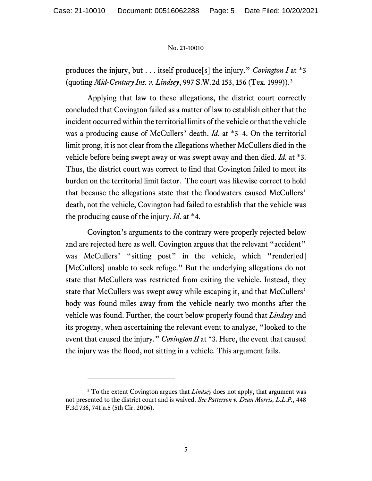produces the injury, but . . . itself produce[s] the injury." *Covington I* at \*3 (quoting *Mid-Century Ins. v. Lindsey*, 997 S.W.2d 153, 156 (Tex. 1999)). [3](#page-4-0)

Applying that law to these allegations, the district court correctly concluded that Covington failed as a matter of law to establish either that the incident occurred within the territorial limits of the vehicle or that the vehicle was a producing cause of McCullers' death. *Id*. at \*3–4. On the territorial limit prong, it is not clear from the allegations whether McCullers died in the vehicle before being swept away or was swept away and then died. *Id.* at \*3. Thus, the district court was correct to find that Covington failed to meet its burden on the territorial limit factor. The court was likewise correct to hold that because the allegations state that the floodwaters caused McCullers' death, not the vehicle, Covington had failed to establish that the vehicle was the producing cause of the injury. *Id*. at \*4.

Covington's arguments to the contrary were properly rejected below and are rejected here as well. Covington argues that the relevant "accident" was McCullers' "sitting post" in the vehicle, which "render[ed] [McCullers] unable to seek refuge." But the underlying allegations do not state that McCullers was restricted from exiting the vehicle. Instead, they state that McCullers was swept away while escaping it, and that McCullers' body was found miles away from the vehicle nearly two months after the vehicle was found. Further, the court below properly found that *Lindsey* and its progeny, when ascertaining the relevant event to analyze, "looked to the event that caused the injury." *Covington II* at \*3. Here, the event that caused the injury was the flood, not sitting in a vehicle. This argument fails.

<span id="page-4-0"></span><sup>3</sup> To the extent Covington argues that *Lindsey* does not apply, that argument was not presented to the district court and is waived. *See Patterson v. Dean Morris, L.L.P.*, 448 F.3d 736, 741 n.5 (5th Cir. 2006).